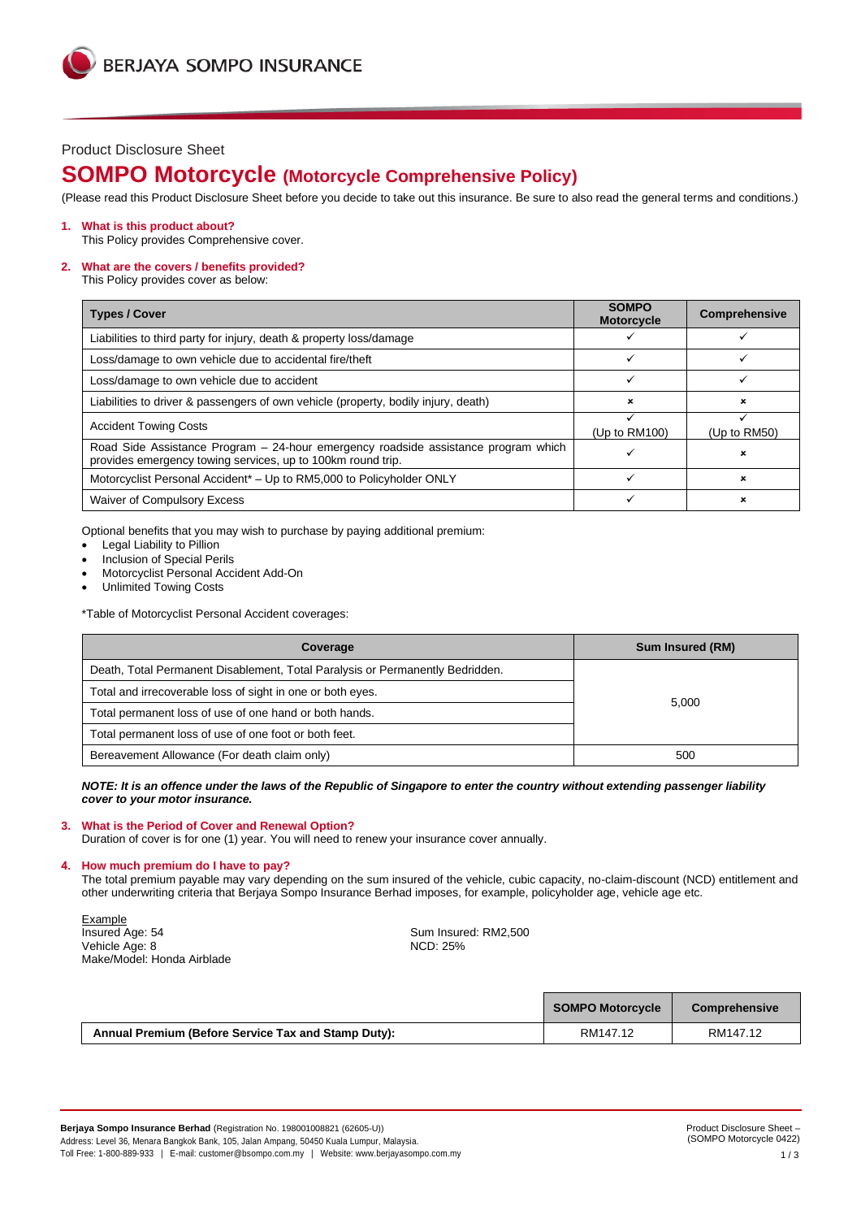## Product Disclosure Sheet

# **SOMPO Motorcycle (Motorcycle Comprehensive Policy)**

(Please read this Product Disclosure Sheet before you decide to take out this insurance. Be sure to also read the general terms and conditions.)

## **1. What is this product about?**

This Policy provides Comprehensive cover.

## **2. What are the covers / benefits provided?**

This Policy provides cover as below:

| <b>Types / Cover</b>                                                                                                                              | <b>SOMPO</b><br><b>Motorcycle</b> | <b>Comprehensive</b> |
|---------------------------------------------------------------------------------------------------------------------------------------------------|-----------------------------------|----------------------|
| Liabilities to third party for injury, death & property loss/damage                                                                               |                                   |                      |
| Loss/damage to own vehicle due to accidental fire/theft                                                                                           |                                   |                      |
| Loss/damage to own vehicle due to accident                                                                                                        |                                   |                      |
| Liabilities to driver & passengers of own vehicle (property, bodily injury, death)                                                                | ×                                 | ×                    |
| <b>Accident Towing Costs</b>                                                                                                                      | (Up to $RM100$ )                  | (Up to $RM50$ )      |
| Road Side Assistance Program - 24-hour emergency roadside assistance program which<br>provides emergency towing services, up to 100km round trip. |                                   | ×                    |
| Motorcyclist Personal Accident* - Up to RM5,000 to Policyholder ONLY                                                                              |                                   | ×                    |
| Waiver of Compulsory Excess                                                                                                                       |                                   |                      |

Optional benefits that you may wish to purchase by paying additional premium:

- Legal Liability to Pillion
- Inclusion of Special Perils
- Motorcyclist Personal Accident Add-On
- Unlimited Towing Costs

\*Table of Motorcyclist Personal Accident coverages:

| Coverage                                                                      | <b>Sum Insured (RM)</b> |  |
|-------------------------------------------------------------------------------|-------------------------|--|
| Death, Total Permanent Disablement, Total Paralysis or Permanently Bedridden. |                         |  |
| Total and irrecoverable loss of sight in one or both eyes.                    | 5.000                   |  |
| Total permanent loss of use of one hand or both hands.                        |                         |  |
| Total permanent loss of use of one foot or both feet.                         |                         |  |
| Bereavement Allowance (For death claim only)                                  | 500                     |  |

## *NOTE: It is an offence under the laws of the Republic of Singapore to enter the country without extending passenger liability cover to your motor insurance.*

### **3. What is the Period of Cover and Renewal Option?**

Duration of cover is for one (1) year. You will need to renew your insurance cover annually.

## **4. How much premium do I have to pay?**

The total premium payable may vary depending on the sum insured of the vehicle, cubic capacity, no-claim-discount (NCD) entitlement and other underwriting criteria that Berjaya Sompo Insurance Berhad imposes, for example, policyholder age, vehicle age etc.

Example<br>Insured Age: 54 Vehicle Age: 8 Make/Model: Honda Airblade

Sum Insured: RM2,500<br>NCD: 25%

|                                                     | <b>SOMPO Motorcycle</b> | Comprehensive |
|-----------------------------------------------------|-------------------------|---------------|
| Annual Premium (Before Service Tax and Stamp Duty): | RM147.12                | RM147.12      |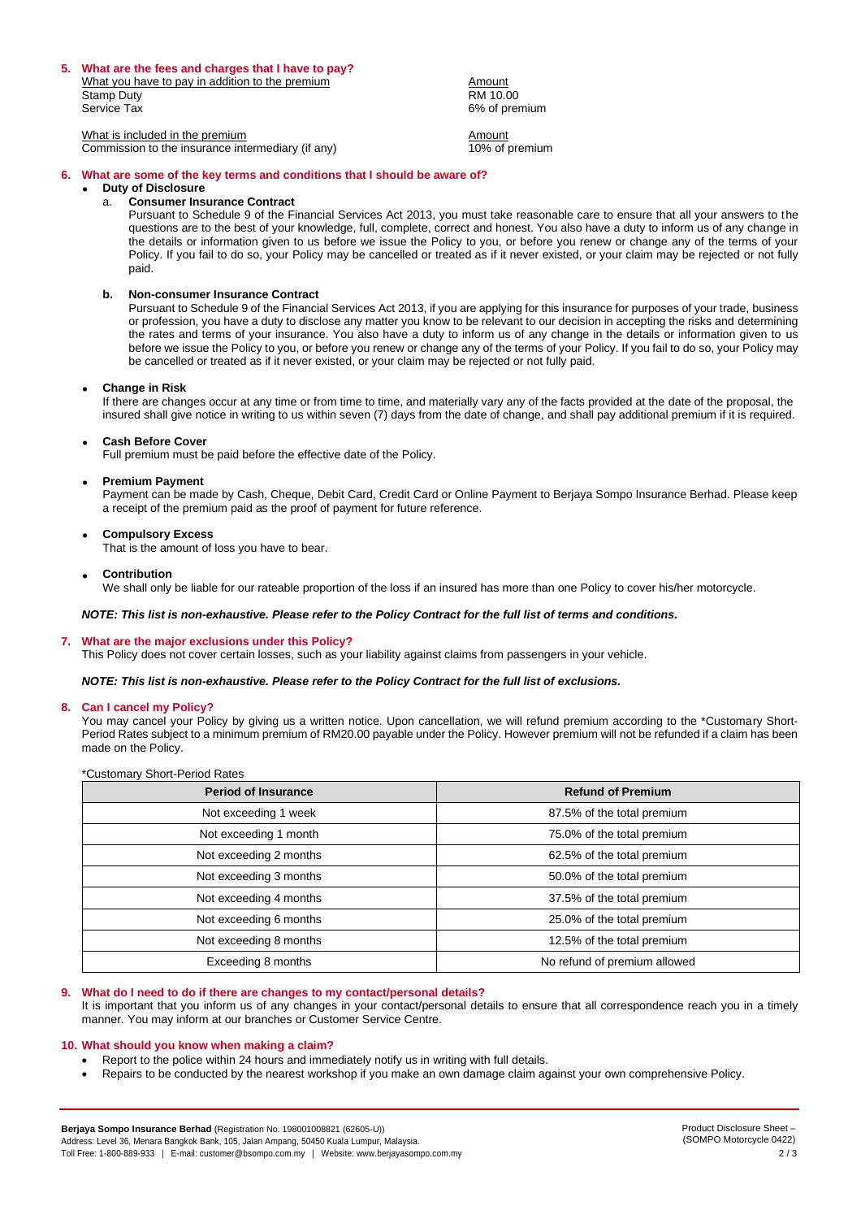#### **5. What are the fees and charges that I have to pay?**

What you have to pay in addition to the premium<br>Stamp Duty RM 10.00 Stamp Duty RM 10.00 Service Tax 6% of premium

 $\frac{N}{N}$  is included in the premium<br>Commission to the insurance intermediary (if any)  $\frac{N}{10\%}$  of premium Commission to the insurance intermediary (if any)

## **6. What are some of the key terms and conditions that I should be aware of?**

## • **Duty of Disclosure**

#### a. **Consumer Insurance Contract**

Pursuant to Schedule 9 of the Financial Services Act 2013, you must take reasonable care to ensure that all your answers to the questions are to the best of your knowledge, full, complete, correct and honest. You also have a duty to inform us of any change in the details or information given to us before we issue the Policy to you, or before you renew or change any of the terms of your Policy. If you fail to do so, your Policy may be cancelled or treated as if it never existed, or your claim may be rejected or not fully paid.

#### **b. Non-consumer Insurance Contract**

Pursuant to Schedule 9 of the Financial Services Act 2013, if you are applying for this insurance for purposes of your trade, business or profession, you have a duty to disclose any matter you know to be relevant to our decision in accepting the risks and determining the rates and terms of your insurance. You also have a duty to inform us of any change in the details or information given to us before we issue the Policy to you, or before you renew or change any of the terms of your Policy. If you fail to do so, your Policy may be cancelled or treated as if it never existed, or your claim may be rejected or not fully paid.

#### • **Change in Risk**

If there are changes occur at any time or from time to time, and materially vary any of the facts provided at the date of the proposal, the insured shall give notice in writing to us within seven (7) days from the date of change, and shall pay additional premium if it is required.

#### • **Cash Before Cover**

Full premium must be paid before the effective date of the Policy.

#### • **Premium Payment**

Payment can be made by Cash, Cheque, Debit Card, Credit Card or Online Payment to Berjaya Sompo Insurance Berhad. Please keep a receipt of the premium paid as the proof of payment for future reference.

#### • **Compulsory Excess**

That is the amount of loss you have to bear.

#### • **Contribution**

We shall only be liable for our rateable proportion of the loss if an insured has more than one Policy to cover his/her motorcycle.

## *NOTE: This list is non-exhaustive. Please refer to the Policy Contract for the full list of terms and conditions.*

### **7. What are the major exclusions under this Policy?**

This Policy does not cover certain losses, such as your liability against claims from passengers in your vehicle.

#### *NOTE: This list is non-exhaustive. Please refer to the Policy Contract for the full list of exclusions.*

#### **8. Can I cancel my Policy?**

\*Customary Short-Period Rates

You may cancel your Policy by giving us a written notice. Upon cancellation, we will refund premium according to the \*Customary Short-Period Rates subject to a minimum premium of RM20.00 payable under the Policy. However premium will not be refunded if a claim has been made on the Policy.

| <b>Period of Insurance</b> | <b>Refund of Premium</b>     |
|----------------------------|------------------------------|
| Not exceeding 1 week       | 87.5% of the total premium   |
| Not exceeding 1 month      | 75.0% of the total premium   |
| Not exceeding 2 months     | 62.5% of the total premium   |
| Not exceeding 3 months     | 50.0% of the total premium   |
| Not exceeding 4 months     | 37.5% of the total premium   |
| Not exceeding 6 months     | 25.0% of the total premium   |
| Not exceeding 8 months     | 12.5% of the total premium   |
| Exceeding 8 months         | No refund of premium allowed |

## **9. What do I need to do if there are changes to my contact/personal details?**

It is important that you inform us of any changes in your contact/personal details to ensure that all correspondence reach you in a timely manner. You may inform at our branches or Customer Service Centre.

## **10. What should you know when making a claim?**

- Report to the police within 24 hours and immediately notify us in writing with full details.
- Repairs to be conducted by the nearest workshop if you make an own damage claim against your own comprehensive Policy.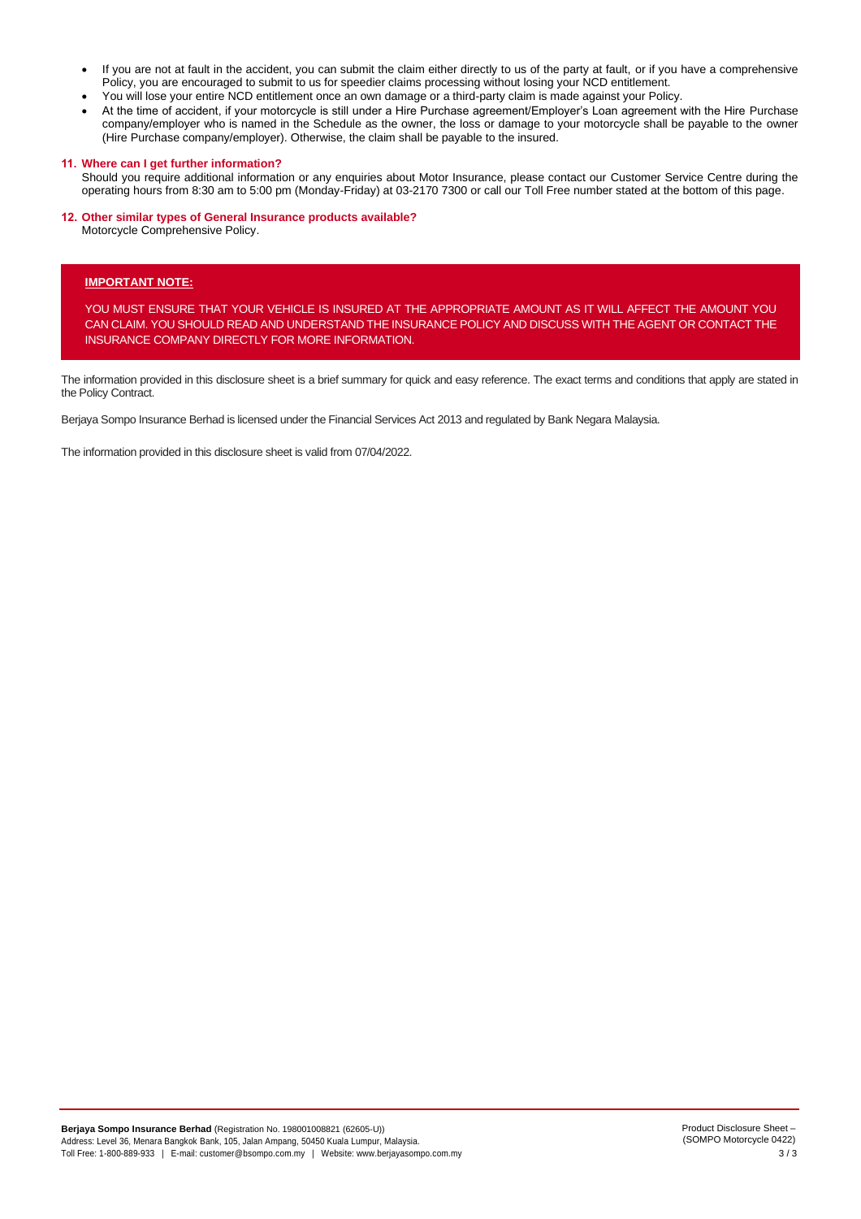- If you are not at fault in the accident, you can submit the claim either directly to us of the party at fault, or if you have a comprehensive Policy, you are encouraged to submit to us for speedier claims processing without losing your NCD entitlement.
- You will lose your entire NCD entitlement once an own damage or a third-party claim is made against your Policy.
- At the time of accident, if your motorcycle is still under a Hire Purchase agreement/Employer's Loan agreement with the Hire Purchase company/employer who is named in the Schedule as the owner, the loss or damage to your motorcycle shall be payable to the owner (Hire Purchase company/employer). Otherwise, the claim shall be payable to the insured.

### **11. Where can I get further information?**

Should you require additional information or any enquiries about Motor Insurance, please contact our Customer Service Centre during the operating hours from 8:30 am to 5:00 pm (Monday-Friday) at 03-2170 7300 or call our Toll Free number stated at the bottom of this page.

## **12. Other similar types of General Insurance products available?**

Motorcycle Comprehensive Policy.

## **IMPORTANT NOTE:**

YOU MUST ENSURE THAT YOUR VEHICLE IS INSURED AT THE APPROPRIATE AMOUNT AS IT WILL AFFECT THE AMOUNT YOU CAN CLAIM. YOU SHOULD READ AND UNDERSTAND THE INSURANCE POLICY AND DISCUSS WITH THE AGENT OR CONTACT THE INSURANCE COMPANY DIRECTLY FOR MORE INFORMATION.

The information provided in this disclosure sheet is a brief summary for quick and easy reference. The exact terms and conditions that apply are stated in the Policy Contract.

Berjaya Sompo Insurance Berhad is licensed under the Financial Services Act 2013 and regulated by Bank Negara Malaysia.

The information provided in this disclosure sheet is valid from 07/04/2022.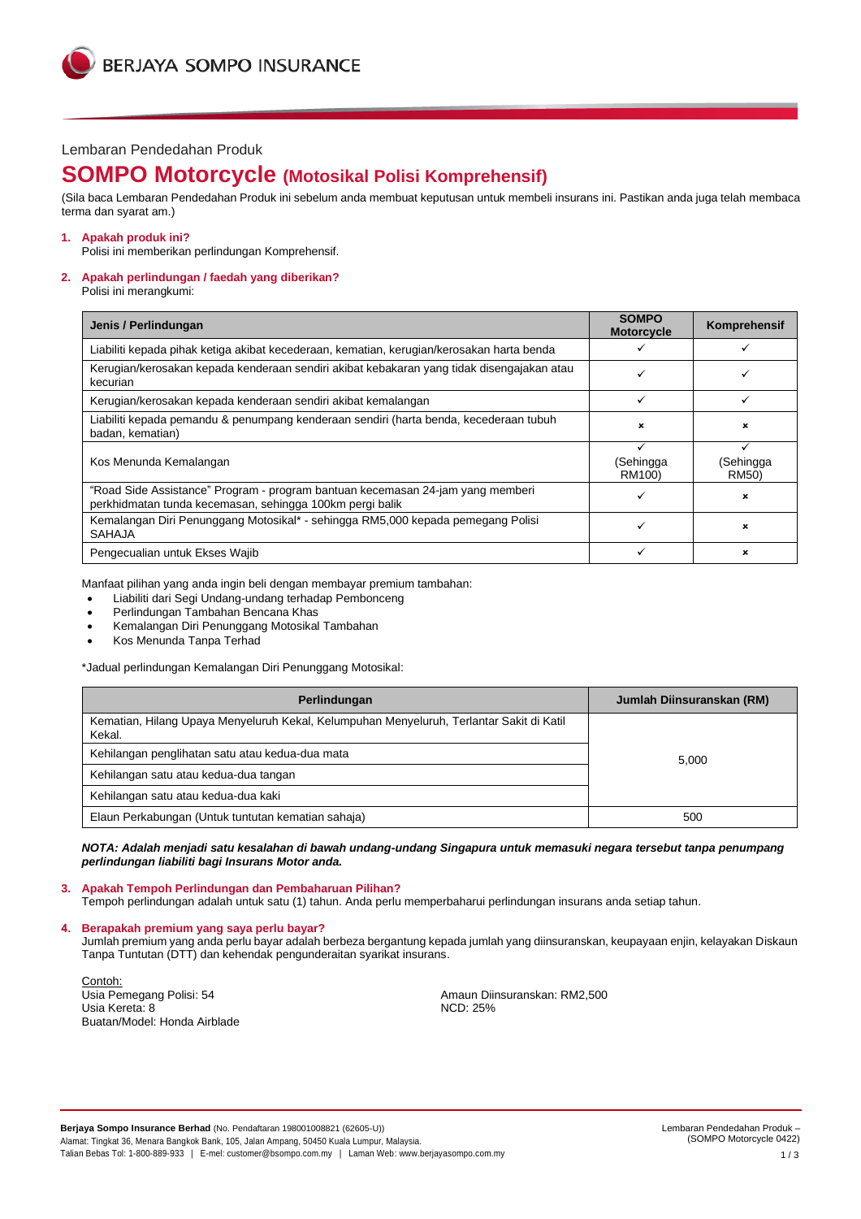## Lembaran Pendedahan Produk

# **SOMPO Motorcycle (Motosikal Polisi Komprehensif)**

(Sila baca Lembaran Pendedahan Produk ini sebelum anda membuat keputusan untuk membeli insurans ini. Pastikan anda juga telah membaca terma dan syarat am.)

## **1. Apakah produk ini?**

Polisi ini memberikan perlindungan Komprehensif.

## **2. Apakah perlindungan / faedah yang diberikan?**

Polisi ini merangkumi:

| Jenis / Perlindungan                                                                                                                       | <b>SOMPO</b><br><b>Motorcycle</b> | Komprehensif              |
|--------------------------------------------------------------------------------------------------------------------------------------------|-----------------------------------|---------------------------|
| Liabiliti kepada pihak ketiga akibat kecederaan, kematian, kerugian/kerosakan harta benda                                                  |                                   |                           |
| Kerugian/kerosakan kepada kenderaan sendiri akibat kebakaran yang tidak disengajakan atau<br>kecurian                                      |                                   |                           |
| Kerugian/kerosakan kepada kenderaan sendiri akibat kemalangan                                                                              | ✓                                 |                           |
| Liabiliti kepada pemandu & penumpang kenderaan sendiri (harta benda, kecederaan tubuh<br>badan, kematian)                                  | $\boldsymbol{\mathsf{x}}$         | ×                         |
| Kos Menunda Kemalangan                                                                                                                     | (Sehingga<br>RM100)               | (Sehingga<br><b>RM50)</b> |
| "Road Side Assistance" Program - program bantuan kecemasan 24-jam yang memberi<br>perkhidmatan tunda kecemasan, sehingga 100km pergi balik |                                   | ×                         |
| Kemalangan Diri Penunggang Motosikal* - sehingga RM5,000 kepada pemegang Polisi<br><b>SAHAJA</b>                                           | ✓                                 | $\mathbf x$               |
| Pengecualian untuk Ekses Wajib                                                                                                             |                                   | ×                         |

Manfaat pilihan yang anda ingin beli dengan membayar premium tambahan:

- Liabiliti dari Segi Undang-undang terhadap Pembonceng
- Perlindungan Tambahan Bencana Khas
- Kemalangan Diri Penunggang Motosikal Tambahan
- Kos Menunda Tanpa Terhad

\*Jadual perlindungan Kemalangan Diri Penunggang Motosikal:

| Perlindungan                                                                                       | Jumlah Diinsuranskan (RM) |  |
|----------------------------------------------------------------------------------------------------|---------------------------|--|
| Kematian, Hilang Upaya Menyeluruh Kekal, Kelumpuhan Menyeluruh, Terlantar Sakit di Katil<br>Kekal. |                           |  |
| Kehilangan penglihatan satu atau kedua-dua mata                                                    | 5,000                     |  |
| Kehilangan satu atau kedua-dua tangan                                                              |                           |  |
| Kehilangan satu atau kedua-dua kaki                                                                |                           |  |
| Elaun Perkabungan (Untuk tuntutan kematian sahaja)                                                 | 500                       |  |

*NOTA: Adalah menjadi satu kesalahan di bawah undang-undang Singapura untuk memasuki negara tersebut tanpa penumpang perlindungan liabiliti bagi Insurans Motor anda.*

### **3. Apakah Tempoh Perlindungan dan Pembaharuan Pilihan?**

Tempoh perlindungan adalah untuk satu (1) tahun. Anda perlu memperbaharui perlindungan insurans anda setiap tahun.

**4. Berapakah premium yang saya perlu bayar?**

Jumlah premium yang anda perlu bayar adalah berbeza bergantung kepada jumlah yang diinsuranskan, keupayaan enjin, kelayakan Diskaun Tanpa Tuntutan (DTT) dan kehendak pengunderaitan syarikat insurans.

Contoh:<br>Usia Pemegang Polisi: 54 Usia Kereta: 8 Buatan/Model: Honda Airblade

Amaun Diinsuranskan: RM2,500<br>NCD: 25%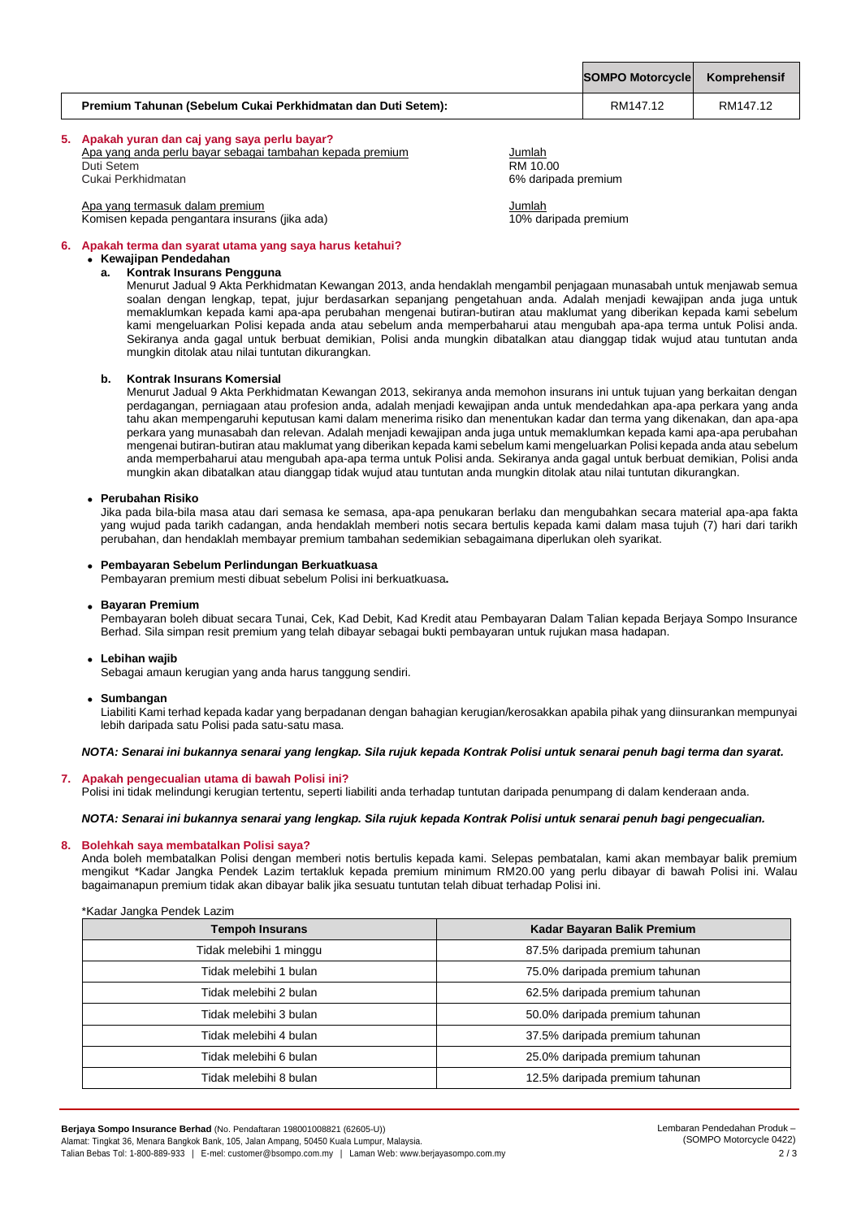|                                                              | SOMPO Motorcycle Komprehensif |          |
|--------------------------------------------------------------|-------------------------------|----------|
| Premium Tahunan (Sebelum Cukai Perkhidmatan dan Duti Setem): | RM147.12                      | RM147.12 |

# **5. Apakah yuran dan caj yang saya perlu bayar?**

| Apa yang anda perlu bayar sebagai tambahan kepada premium | Jumlah               |
|-----------------------------------------------------------|----------------------|
| Duti Setem                                                | RM 10.00             |
| Cukai Perkhidmatan                                        | 6% daripada premium  |
| Apa yang termasuk dalam premium                           | Jumlah               |
| Komisen kepada pengantara insurans (jika ada)             | 10% daripada premium |

**6. Apakah terma dan syarat utama yang saya harus ketahui?**

# • **Kewajipan Pendedahan**

## **a. Kontrak Insurans Pengguna**

Menurut Jadual 9 Akta Perkhidmatan Kewangan 2013, anda hendaklah mengambil penjagaan munasabah untuk menjawab semua soalan dengan lengkap, tepat, jujur berdasarkan sepanjang pengetahuan anda. Adalah menjadi kewajipan anda juga untuk memaklumkan kepada kami apa-apa perubahan mengenai butiran-butiran atau maklumat yang diberikan kepada kami sebelum kami mengeluarkan Polisi kepada anda atau sebelum anda memperbaharui atau mengubah apa-apa terma untuk Polisi anda. Sekiranya anda gagal untuk berbuat demikian, Polisi anda mungkin dibatalkan atau dianggap tidak wujud atau tuntutan anda mungkin ditolak atau nilai tuntutan dikurangkan.

### **b. Kontrak Insurans Komersial**

Menurut Jadual 9 Akta Perkhidmatan Kewangan 2013, sekiranya anda memohon insurans ini untuk tujuan yang berkaitan dengan perdagangan, perniagaan atau profesion anda, adalah menjadi kewajipan anda untuk mendedahkan apa-apa perkara yang anda tahu akan mempengaruhi keputusan kami dalam menerima risiko dan menentukan kadar dan terma yang dikenakan, dan apa-apa perkara yang munasabah dan relevan. Adalah menjadi kewajipan anda juga untuk memaklumkan kepada kami apa-apa perubahan mengenai butiran-butiran atau maklumat yang diberikan kepada kami sebelum kami mengeluarkan Polisi kepada anda atau sebelum anda memperbaharui atau mengubah apa-apa terma untuk Polisi anda. Sekiranya anda gagal untuk berbuat demikian, Polisi anda mungkin akan dibatalkan atau dianggap tidak wujud atau tuntutan anda mungkin ditolak atau nilai tuntutan dikurangkan.

#### • **Perubahan Risiko**

Jika pada bila-bila masa atau dari semasa ke semasa, apa-apa penukaran berlaku dan mengubahkan secara material apa-apa fakta yang wujud pada tarikh cadangan, anda hendaklah memberi notis secara bertulis kepada kami dalam masa tujuh (7) hari dari tarikh perubahan, dan hendaklah membayar premium tambahan sedemikian sebagaimana diperlukan oleh syarikat.

## • **Pembayaran Sebelum Perlindungan Berkuatkuasa**

Pembayaran premium mesti dibuat sebelum Polisi ini berkuatkuasa**.**

#### • **Bayaran Premium**

Pembayaran boleh dibuat secara Tunai, Cek, Kad Debit, Kad Kredit atau Pembayaran Dalam Talian kepada Berjaya Sompo Insurance Berhad. Sila simpan resit premium yang telah dibayar sebagai bukti pembayaran untuk rujukan masa hadapan.

### • **Lebihan wajib**

Sebagai amaun kerugian yang anda harus tanggung sendiri.

#### • **Sumbangan**

Liabiliti Kami terhad kepada kadar yang berpadanan dengan bahagian kerugian/kerosakkan apabila pihak yang diinsurankan mempunyai lebih daripada satu Polisi pada satu-satu masa.

## *NOTA: Senarai ini bukannya senarai yang lengkap. Sila rujuk kepada Kontrak Polisi untuk senarai penuh bagi terma dan syarat.*

## **7. Apakah pengecualian utama di bawah Polisi ini?**

Polisi ini tidak melindungi kerugian tertentu, seperti liabiliti anda terhadap tuntutan daripada penumpang di dalam kenderaan anda.

## *NOTA: Senarai ini bukannya senarai yang lengkap. Sila rujuk kepada Kontrak Polisi untuk senarai penuh bagi pengecualian.*

### **8. Bolehkah saya membatalkan Polisi saya?**

Anda boleh membatalkan Polisi dengan memberi notis bertulis kepada kami. Selepas pembatalan, kami akan membayar balik premium mengikut \*Kadar Jangka Pendek Lazim tertakluk kepada premium minimum RM20.00 yang perlu dibayar di bawah Polisi ini. Walau bagaimanapun premium tidak akan dibayar balik jika sesuatu tuntutan telah dibuat terhadap Polisi ini.

| <b>Tempoh Insurans</b>  | Kadar Bayaran Balik Premium    |
|-------------------------|--------------------------------|
| Tidak melebihi 1 minggu | 87.5% daripada premium tahunan |
| Tidak melebihi 1 bulan  | 75.0% daripada premium tahunan |
| Tidak melebihi 2 bulan  | 62.5% daripada premium tahunan |
| Tidak melebihi 3 bulan  | 50.0% daripada premium tahunan |
| Tidak melebihi 4 bulan  | 37.5% daripada premium tahunan |
| Tidak melebihi 6 bulan  | 25.0% daripada premium tahunan |
| Tidak melebihi 8 bulan  | 12.5% daripada premium tahunan |